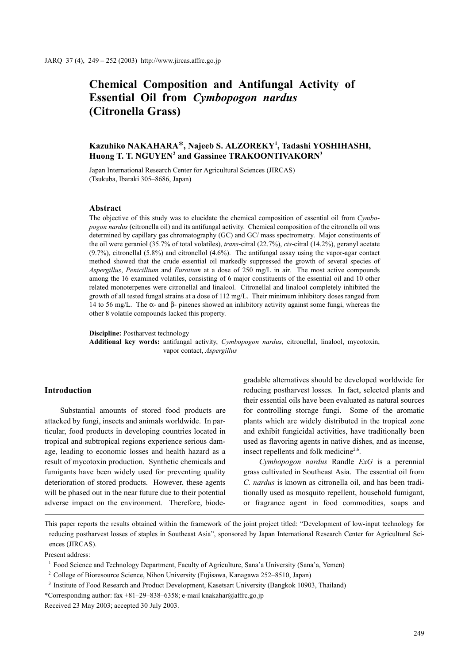# Chemical Composition and Antifungal Activity of Essential Oil from Cymbopogon nardus (Citronella Grass)

## Kazuhiko NAKAHARA\*, Najeeb S. ALZOREKY<sup>1</sup>, Tadashi YOSHIHASHI, Huong T. T. NGUYEN<sup>2</sup> and Gassinee TRAKOONTIVAKORN<sup>3</sup>

Japan International Research Center for Agricultural Sciences (JIRCAS) (Tsukuba, Ibaraki 305–8686, Japan)

#### Abstract

The objective of this study was to elucidate the chemical composition of essential oil from Cymbopogon nardus (citronella oil) and its antifungal activity. Chemical composition of the citronella oil was determined by capillary gas chromatography (GC) and GC/ mass spectrometry. Major constituents of the oil were geraniol (35.7% of total volatiles), *trans*-citral (22.7%), *cis*-citral (14.2%), geranyl acetate (9.7%), citronellal (5.8%) and citronellol (4.6%). The antifungal assay using the vapor-agar contact method showed that the crude essential oil markedly suppressed the growth of several species of Aspergillus, Penicillium and Eurotium at a dose of 250 mg/L in air. The most active compounds among the 16 examined volatiles, consisting of 6 major constituents of the essential oil and 10 other related monoterpenes were citronellal and linalool. Citronellal and linalool completely inhibited the growth of all tested fungal strains at a dose of 112 mg/L. Their minimum inhibitory doses ranged from 14 to 56 mg/L. The α- and β- pinenes showed an inhibitory activity against some fungi, whereas the other 8 volatile compounds lacked this property.

Discipline: Postharvest technology

Additional key words: antifungal activity, Cymbopogon nardus, citronellal, linalool, mycotoxin, vapor contact, Aspergillus

### Introduction

Substantial amounts of stored food products are attacked by fungi, insects and animals worldwide. In particular, food products in developing countries located in tropical and subtropical regions experience serious damage, leading to economic losses and health hazard as a result of mycotoxin production. Synthetic chemicals and fumigants have been widely used for preventing quality deterioration of stored products. However, these agents will be phased out in the near future due to their potential adverse impact on the environment. Therefore, biodegradable alternatives should be developed worldwide for reducing postharvest losses. In fact, selected plants and their essential oils have been evaluated as natural sources for controlling storage fungi. Some of the aromatic plants which are widely distributed in the tropical zone and exhibit fungicidal activities, have traditionally been used as flavoring agents in native dishes, and as incense, insect repellents and folk medicine<sup>2,6</sup>.

Cymbopogon nardus Randle ExG is a perennial grass cultivated in Southeast Asia. The essential oil from C. nardus is known as citronella oil, and has been traditionally used as mosquito repellent, household fumigant, or fragrance agent in food commodities, soaps and

Present address:

This paper reports the results obtained within the framework of the joint project titled: "Development of low-input technology for reducing postharvest losses of staples in Southeast Asia", sponsored by Japan International Research Center for Agricultural Sciences (JIRCAS).

<sup>&</sup>lt;sup>1</sup> Food Science and Technology Department, Faculty of Agriculture, Sana'a University (Sana'a, Yemen)

<sup>&</sup>lt;sup>2</sup> College of Bioresource Science, Nihon University (Fujisawa, Kanagawa 252–8510, Japan)

<sup>&</sup>lt;sup>3</sup> Institute of Food Research and Product Development, Kasetsart University (Bangkok 10903, Thailand)

<sup>\*</sup>Corresponding author: fax +81–29–838–6358; e-mail knakahar@affrc.go.jp

Received 23 May 2003; accepted 30 July 2003.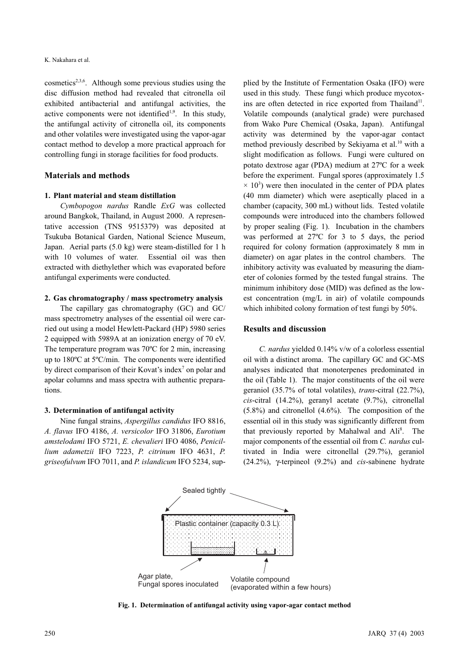cosmetics<sup>2,3,6</sup>. Although some previous studies using the disc diffusion method had revealed that citronella oil exhibited antibacterial and antifungal activities, the active components were not identified<sup>1,9</sup>. In this study, the antifungal activity of citronella oil, its components and other volatiles were investigated using the vapor-agar contact method to develop a more practical approach for controlling fungi in storage facilities for food products.

#### Materials and methods

#### 1. Plant material and steam distillation

Cymbopogon nardus Randle ExG was collected around Bangkok, Thailand, in August 2000. A representative accession (TNS 9515379) was deposited at Tsukuba Botanical Garden, National Science Museum, Japan. Aerial parts (5.0 kg) were steam-distilled for 1 h with 10 volumes of water. Essential oil was then extracted with diethylether which was evaporated before antifungal experiments were conducted.

#### 2. Gas chromatography / mass spectrometry analysis

The capillary gas chromatography (GC) and GC/ mass spectrometry analyses of the essential oil were carried out using a model Hewlett-Packard (HP) 5980 series 2 equipped with 5989A at an ionization energy of 70 eV. The temperature program was 70ºC for 2 min, increasing up to 180ºC at 5ºC/min. The components were identified by direct comparison of their Kovat's index<sup>7</sup> on polar and apolar columns and mass spectra with authentic preparations.

#### 3. Determination of antifungal activity

Nine fungal strains, Aspergillus candidus IFO 8816, A. flavus IFO 4186, A. versicolor IFO 31806, Eurotium amstelodami IFO 5721, E. chevalieri IFO 4086, Penicillium adametzii IFO 7223, P. citrinum IFO 4631, P. griseofulvum IFO 7011, and P. islandicum IFO 5234, supplied by the Institute of Fermentation Osaka (IFO) were used in this study. These fungi which produce mycotoxins are often detected in rice exported from Thailand<sup>11</sup>. Volatile compounds (analytical grade) were purchased from Wako Pure Chemical (Osaka, Japan). Antifungal activity was determined by the vapor-agar contact method previously described by Sekiyama et al.<sup>10</sup> with a slight modification as follows. Fungi were cultured on potato dextrose agar (PDA) medium at 27ºC for a week before the experiment. Fungal spores (approximately 1.5  $\times$  10<sup>3</sup>) were then inoculated in the center of PDA plates (40 mm diameter) which were aseptically placed in a chamber (capacity, 300 mL) without lids. Tested volatile compounds were introduced into the chambers followed by proper sealing (Fig. 1). Incubation in the chambers was performed at 27ºC for 3 to 5 days, the period required for colony formation (approximately 8 mm in diameter) on agar plates in the control chambers. The inhibitory activity was evaluated by measuring the diameter of colonies formed by the tested fungal strains. The minimum inhibitory dose (MID) was defined as the lowest concentration (mg/L in air) of volatile compounds which inhibited colony formation of test fungi by 50%.

#### Results and discussion

C. nardus yielded 0.14% v/w of a colorless essential oil with a distinct aroma. The capillary GC and GC-MS analyses indicated that monoterpenes predominated in the oil (Table 1). The major constituents of the oil were geraniol (35.7% of total volatiles), trans-citral (22.7%), cis-citral (14.2%), geranyl acetate (9.7%), citronellal (5.8%) and citronellol (4.6%). The composition of the essential oil in this study was significantly different from that previously reported by Mahalwal and Ali<sup>8</sup>. The major components of the essential oil from C. nardus cultivated in India were citronellal (29.7%), geraniol (24.2%),  $\gamma$ -terpineol (9.2%) and *cis*-sabinene hydrate



Fig. 1. Determination of antifungal activity using vapor-agar contact method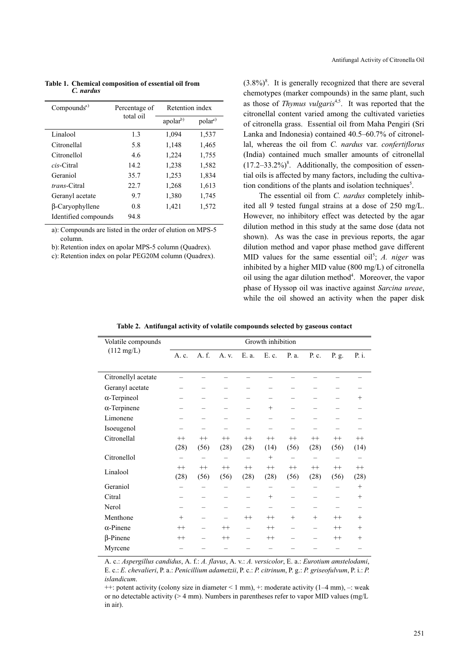| Compounds <sup>a</sup> | Percentage of | Retention index      |                     |  |  |
|------------------------|---------------|----------------------|---------------------|--|--|
|                        | total oil     | apolar <sup>b)</sup> | polar <sup>c)</sup> |  |  |
| Linalool               | 1.3           | 1,094                | 1,537               |  |  |
| Citronellal            | 5.8           | 1,148                | 1,465               |  |  |
| Citronellol            | 4.6           | 1,224                | 1,755               |  |  |
| cis-Citral             | 14.2.         | 1,238                | 1,582               |  |  |
| Geraniol               | 35.7          | 1,253                | 1,834               |  |  |
| <i>trans</i> -Citral   | 22.7          | 1,268                | 1,613               |  |  |
| Geranyl acetate        | 9.7           | 1,380                | 1,745               |  |  |
| β-Caryophyllene        | 0.8           | 1,421                | 1,572               |  |  |
| Identified compounds   | 94.8          |                      |                     |  |  |

Table 1. Chemical composition of essential oil from C. nardus

a): Compounds are listed in the order of elution on MPS-5 column.

b): Retention index on apolar MPS-5 column (Quadrex).

c): Retention index on polar PEG20M column (Quadrex).

 $(3.8\%)$ <sup>8</sup>. It is generally recognized that there are several chemotypes (marker compounds) in the same plant, such as those of Thymus vulgaris<sup>4,5</sup>. It was reported that the citronellal content varied among the cultivated varieties of citronella grass. Essential oil from Maha Pengiri (Sri Lanka and Indonesia) contained 40.5–60.7% of citronellal, whereas the oil from C. nardus var. confertiflorus (India) contained much smaller amounts of citronellal  $(17.2-33.2\%)^8$ . Additionally, the composition of essential oils is affected by many factors, including the cultivation conditions of the plants and isolation techniques<sup>5</sup>.

The essential oil from C. nardus completely inhibited all 9 tested fungal strains at a dose of 250 mg/L. However, no inhibitory effect was detected by the agar dilution method in this study at the same dose (data not shown). As was the case in previous reports, the agar dilution method and vapor phase method gave different MID values for the same essential oil<sup>5</sup>; A. niger was inhibited by a higher MID value (800 mg/L) of citronella oil using the agar dilution method<sup>4</sup>. Moreover, the vapor phase of Hyssop oil was inactive against Sarcina ureae, while the oil showed an activity when the paper disk

|  |  | Table 2. Antifungal activity of volatile compounds selected by gaseous contact |  |  |
|--|--|--------------------------------------------------------------------------------|--|--|
|  |  |                                                                                |  |  |

| Volatile compounds<br>$(112 \text{ mg/L})$ | Growth inhibition        |                          |         |                          |         |                          |                          |         |         |
|--------------------------------------------|--------------------------|--------------------------|---------|--------------------------|---------|--------------------------|--------------------------|---------|---------|
|                                            | A. c.                    | A. f.                    | A. v.   | E. a.                    | E. c.   | P. a.                    | P. c.                    | P. g.   | P. i.   |
|                                            |                          |                          |         |                          |         |                          |                          |         |         |
| Citronellyl acetate                        |                          |                          |         |                          |         |                          |                          |         |         |
| Geranyl acetate                            |                          |                          |         |                          |         |                          |                          |         |         |
| $\alpha$ -Terpineol                        |                          |                          |         |                          |         |                          |                          |         | $^+$    |
| $\alpha$ -Terpinene                        | -                        | $\overline{\phantom{0}}$ |         |                          | $^{+}$  | $\overline{\phantom{0}}$ |                          |         |         |
| Limonene                                   |                          |                          |         |                          |         |                          |                          |         |         |
| Isoeugenol                                 | $\overline{\phantom{0}}$ |                          |         |                          |         |                          |                          |         |         |
| Citronellal                                | $^{++}$                  | $^{++}$                  | $++$    | $^{++}$                  | $^{++}$ | $^{++}$                  | $^{++}$                  | $^{++}$ | $^{++}$ |
|                                            | (28)                     | (56)                     | (28)    | (28)                     | (14)    | (56)                     | (28)                     | (56)    | (14)    |
| Citronellol                                |                          |                          |         |                          | $^{+}$  | $\overline{\phantom{0}}$ | $\overline{\phantom{0}}$ |         |         |
| Linalool                                   | $++$                     | $^{++}$                  | $++$    | $++$                     | $^{++}$ | $^{++}$                  | $^{++}$                  | $++$    | $^{++}$ |
|                                            | (28)                     | (56)                     | (56)    | (28)                     | (28)    | (56)                     | (28)                     | (56)    | (28)    |
| Geraniol                                   |                          |                          |         |                          |         |                          |                          |         | $^{+}$  |
| Citral                                     | $\overline{\phantom{0}}$ |                          |         |                          | $^{+}$  |                          |                          |         | $^{+}$  |
| Nerol                                      |                          |                          |         |                          |         |                          |                          |         |         |
| Menthone                                   | $^{+}$                   |                          |         | $^{++}$                  | $^{++}$ | $+$                      | $^{+}$                   | $^{++}$ | $^{+}$  |
| $\alpha$ -Pinene                           | $^{++}$                  | $\overline{\phantom{0}}$ | $^{++}$ | $\overline{\phantom{0}}$ | $^{++}$ | $\overline{\phantom{0}}$ | $\overline{\phantom{0}}$ | $++$    | $^{+}$  |
| $\beta$ -Pinene                            | $^{++}$                  |                          | $^{++}$ |                          | $^{++}$ |                          |                          | $^{++}$ | $^{+}$  |
| Myrcene                                    |                          |                          |         |                          |         |                          |                          |         |         |

A. c.: Aspergillus candidus, A. f.: A. flavus, A. v.: A. versicolor, E. a.: Eurotium amstelodami, E. c.: E. chevalieri, P. a.: Penicillium adametzii, P. c.: P. citrinum, P. g.: P. griseofulvum, P. i.: P. islandicum.

 $++$ : potent activity (colony size in diameter  $\leq 1$  mm),  $+$ : moderate activity (1–4 mm),  $-$ : weak or no detectable activity ( $> 4$  mm). Numbers in parentheses refer to vapor MID values (mg/L in air).